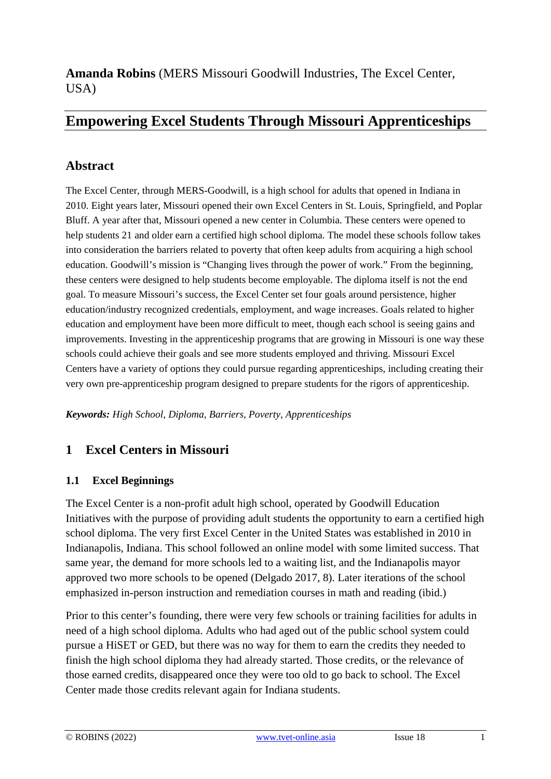**Amanda Robins** (MERS Missouri Goodwill Industries, The Excel Center, USA)

## **Empowering Excel Students Through Missouri Apprenticeships**

## **Abstract**

The Excel Center, through MERS-Goodwill, is a high school for adults that opened in Indiana in 2010. Eight years later, Missouri opened their own Excel Centers in St. Louis, Springfield, and Poplar Bluff. A year after that, Missouri opened a new center in Columbia. These centers were opened to help students 21 and older earn a certified high school diploma. The model these schools follow takes into consideration the barriers related to poverty that often keep adults from acquiring a high school education. Goodwill's mission is "Changing lives through the power of work." From the beginning, these centers were designed to help students become employable. The diploma itself is not the end goal. To measure Missouri's success, the Excel Center set four goals around persistence, higher education/industry recognized credentials, employment, and wage increases. Goals related to higher education and employment have been more difficult to meet, though each school is seeing gains and improvements. Investing in the apprenticeship programs that are growing in Missouri is one way these schools could achieve their goals and see more students employed and thriving. Missouri Excel Centers have a variety of options they could pursue regarding apprenticeships, including creating their very own pre-apprenticeship program designed to prepare students for the rigors of apprenticeship.

*Keywords: High School, Diploma, Barriers, Poverty, Apprenticeships*

## **1 Excel Centers in Missouri**

#### **1.1 Excel Beginnings**

The Excel Center is a non-profit adult high school, operated by Goodwill Education Initiatives with the purpose of providing adult students the opportunity to earn a certified high school diploma. The very first Excel Center in the United States was established in 2010 in Indianapolis, Indiana. This school followed an online model with some limited success. That same year, the demand for more schools led to a waiting list, and the Indianapolis mayor approved two more schools to be opened (Delgado 2017, 8). Later iterations of the school emphasized in-person instruction and remediation courses in math and reading (ibid.)

Prior to this center's founding, there were very few schools or training facilities for adults in need of a high school diploma. Adults who had aged out of the public school system could pursue a HiSET or GED, but there was no way for them to earn the credits they needed to finish the high school diploma they had already started. Those credits, or the relevance of those earned credits, disappeared once they were too old to go back to school. The Excel Center made those credits relevant again for Indiana students.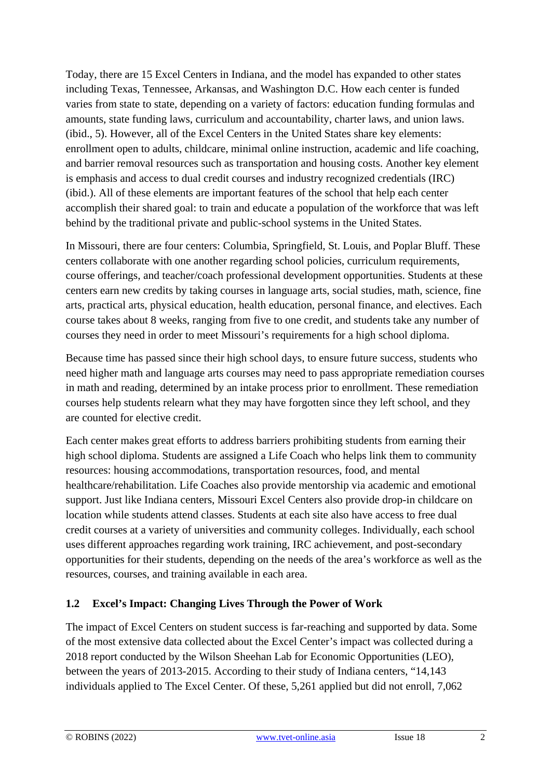Today, there are 15 Excel Centers in Indiana, and the model has expanded to other states including Texas, Tennessee, Arkansas, and Washington D.C. How each center is funded varies from state to state, depending on a variety of factors: education funding formulas and amounts, state funding laws, curriculum and accountability, charter laws, and union laws. (ibid., 5). However, all of the Excel Centers in the United States share key elements: enrollment open to adults, childcare, minimal online instruction, academic and life coaching, and barrier removal resources such as transportation and housing costs. Another key element is emphasis and access to dual credit courses and industry recognized credentials (IRC) (ibid.). All of these elements are important features of the school that help each center accomplish their shared goal: to train and educate a population of the workforce that was left behind by the traditional private and public-school systems in the United States.

In Missouri, there are four centers: Columbia, Springfield, St. Louis, and Poplar Bluff. These centers collaborate with one another regarding school policies, curriculum requirements, course offerings, and teacher/coach professional development opportunities. Students at these centers earn new credits by taking courses in language arts, social studies, math, science, fine arts, practical arts, physical education, health education, personal finance, and electives. Each course takes about 8 weeks, ranging from five to one credit, and students take any number of courses they need in order to meet Missouri's requirements for a high school diploma.

Because time has passed since their high school days, to ensure future success, students who need higher math and language arts courses may need to pass appropriate remediation courses in math and reading, determined by an intake process prior to enrollment. These remediation courses help students relearn what they may have forgotten since they left school, and they are counted for elective credit.

Each center makes great efforts to address barriers prohibiting students from earning their high school diploma. Students are assigned a Life Coach who helps link them to community resources: housing accommodations, transportation resources, food, and mental healthcare/rehabilitation. Life Coaches also provide mentorship via academic and emotional support. Just like Indiana centers, Missouri Excel Centers also provide drop-in childcare on location while students attend classes. Students at each site also have access to free dual credit courses at a variety of universities and community colleges. Individually, each school uses different approaches regarding work training, IRC achievement, and post-secondary opportunities for their students, depending on the needs of the area's workforce as well as the resources, courses, and training available in each area.

#### **1.2 Excel's Impact: Changing Lives Through the Power of Work**

The impact of Excel Centers on student success is far-reaching and supported by data. Some of the most extensive data collected about the Excel Center's impact was collected during a 2018 report conducted by the Wilson Sheehan Lab for Economic Opportunities (LEO), between the years of 2013-2015. According to their study of Indiana centers, "14,143 individuals applied to The Excel Center. Of these, 5,261 applied but did not enroll, 7,062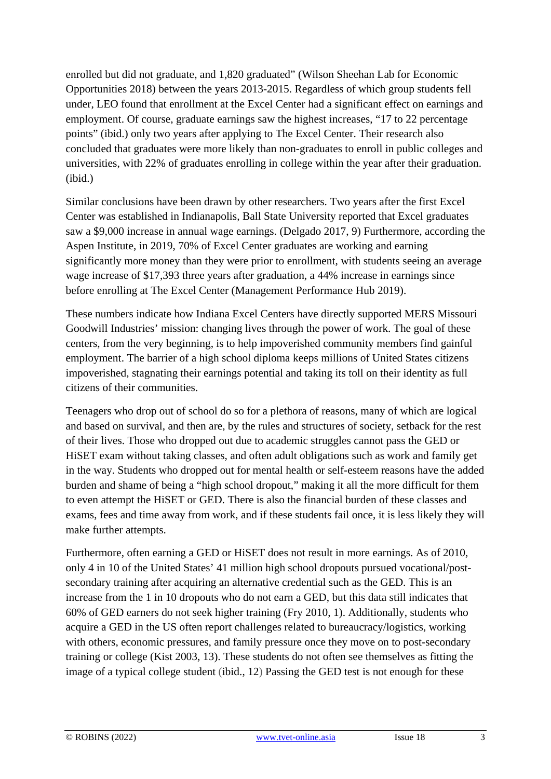enrolled but did not graduate, and 1,820 graduated" (Wilson Sheehan Lab for Economic Opportunities 2018) between the years 2013-2015. Regardless of which group students fell under, LEO found that enrollment at the Excel Center had a significant effect on earnings and employment. Of course, graduate earnings saw the highest increases, "17 to 22 percentage points" (ibid.) only two years after applying to The Excel Center. Their research also concluded that graduates were more likely than non-graduates to enroll in public colleges and universities, with 22% of graduates enrolling in college within the year after their graduation. (ibid.)

Similar conclusions have been drawn by other researchers. Two years after the first Excel Center was established in Indianapolis, Ball State University reported that Excel graduates saw a \$9,000 increase in annual wage earnings. (Delgado 2017, 9) Furthermore, according the Aspen Institute, in 2019, 70% of Excel Center graduates are working and earning significantly more money than they were prior to enrollment, with students seeing an average wage increase of \$17,393 three years after graduation, a 44% increase in earnings since before enrolling at The Excel Center (Management Performance Hub 2019).

These numbers indicate how Indiana Excel Centers have directly supported MERS Missouri Goodwill Industries' mission: changing lives through the power of work. The goal of these centers, from the very beginning, is to help impoverished community members find gainful employment. The barrier of a high school diploma keeps millions of United States citizens impoverished, stagnating their earnings potential and taking its toll on their identity as full citizens of their communities.

Teenagers who drop out of school do so for a plethora of reasons, many of which are logical and based on survival, and then are, by the rules and structures of society, setback for the rest of their lives. Those who dropped out due to academic struggles cannot pass the GED or HiSET exam without taking classes, and often adult obligations such as work and family get in the way. Students who dropped out for mental health or self-esteem reasons have the added burden and shame of being a "high school dropout," making it all the more difficult for them to even attempt the HiSET or GED. There is also the financial burden of these classes and exams, fees and time away from work, and if these students fail once, it is less likely they will make further attempts.

Furthermore, often earning a GED or HiSET does not result in more earnings. As of 2010, only 4 in 10 of the United States' 41 million high school dropouts pursued vocational/postsecondary training after acquiring an alternative credential such as the GED. This is an increase from the 1 in 10 dropouts who do not earn a GED, but this data still indicates that 60% of GED earners do not seek higher training (Fry 2010, 1). Additionally, students who acquire a GED in the US often report challenges related to bureaucracy/logistics, working with others, economic pressures, and family pressure once they move on to post-secondary training or college (Kist 2003, 13). These students do not often see themselves as fitting the image of a typical college student (ibid., 12) Passing the GED test is not enough for these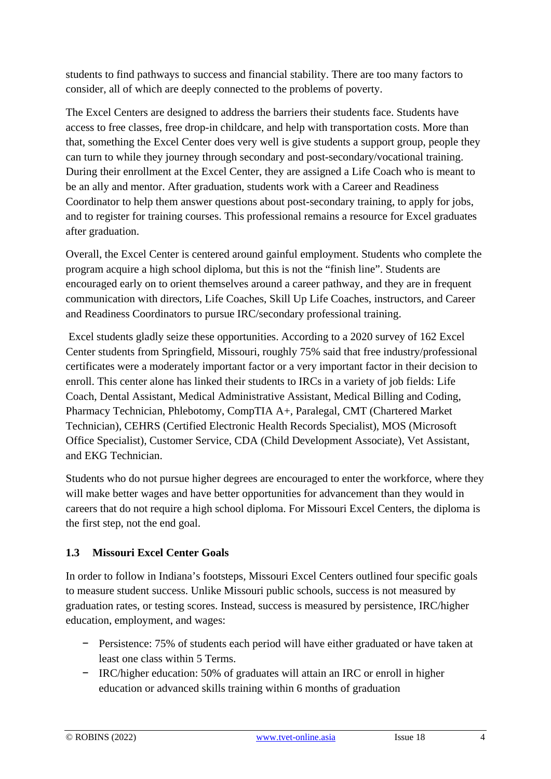students to find pathways to success and financial stability. There are too many factors to consider, all of which are deeply connected to the problems of poverty.

The Excel Centers are designed to address the barriers their students face. Students have access to free classes, free drop-in childcare, and help with transportation costs. More than that, something the Excel Center does very well is give students a support group, people they can turn to while they journey through secondary and post-secondary/vocational training. During their enrollment at the Excel Center, they are assigned a Life Coach who is meant to be an ally and mentor. After graduation, students work with a Career and Readiness Coordinator to help them answer questions about post-secondary training, to apply for jobs, and to register for training courses. This professional remains a resource for Excel graduates after graduation.

Overall, the Excel Center is centered around gainful employment. Students who complete the program acquire a high school diploma, but this is not the "finish line". Students are encouraged early on to orient themselves around a career pathway, and they are in frequent communication with directors, Life Coaches, Skill Up Life Coaches, instructors, and Career and Readiness Coordinators to pursue IRC/secondary professional training.

Excel students gladly seize these opportunities. According to a 2020 survey of 162 Excel Center students from Springfield, Missouri, roughly 75% said that free industry/professional certificates were a moderately important factor or a very important factor in their decision to enroll. This center alone has linked their students to IRCs in a variety of job fields: Life Coach, Dental Assistant, Medical Administrative Assistant, Medical Billing and Coding, Pharmacy Technician, Phlebotomy, CompTIA A+, Paralegal, CMT (Chartered Market Technician), CEHRS (Certified Electronic Health Records Specialist), MOS (Microsoft Office Specialist), Customer Service, CDA (Child Development Associate), Vet Assistant, and EKG Technician.

Students who do not pursue higher degrees are encouraged to enter the workforce, where they will make better wages and have better opportunities for advancement than they would in careers that do not require a high school diploma. For Missouri Excel Centers, the diploma is the first step, not the end goal.

### **1.3 Missouri Excel Center Goals**

In order to follow in Indiana's footsteps, Missouri Excel Centers outlined four specific goals to measure student success. Unlike Missouri public schools, success is not measured by graduation rates, or testing scores. Instead, success is measured by persistence, IRC/higher education, employment, and wages:

- − Persistence: 75% of students each period will have either graduated or have taken at least one class within 5 Terms.
- − IRC/higher education: 50% of graduates will attain an IRC or enroll in higher education or advanced skills training within 6 months of graduation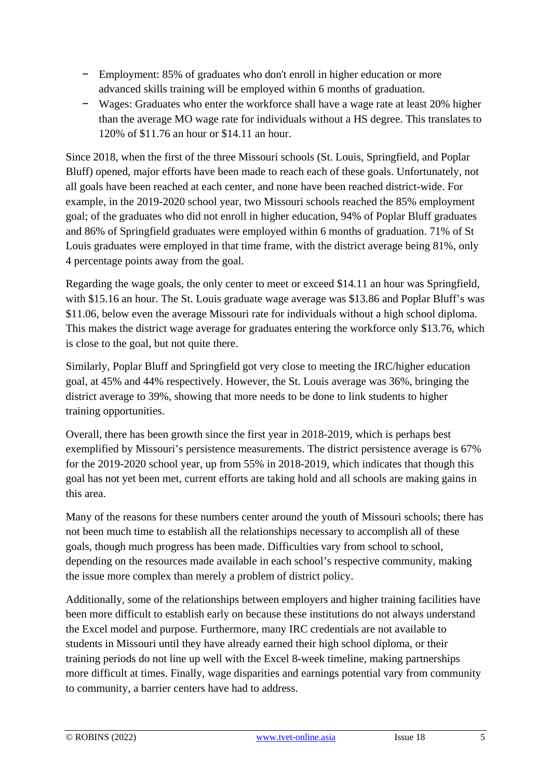- − Employment: 85% of graduates who don't enroll in higher education or more advanced skills training will be employed within 6 months of graduation.
- − Wages: Graduates who enter the workforce shall have a wage rate at least 20% higher than the average MO wage rate for individuals without a HS degree. This translates to 120% of \$11.76 an hour or \$14.11 an hour.

Since 2018, when the first of the three Missouri schools (St. Louis, Springfield, and Poplar Bluff) opened, major efforts have been made to reach each of these goals. Unfortunately, not all goals have been reached at each center, and none have been reached district-wide. For example, in the 2019-2020 school year, two Missouri schools reached the 85% employment goal; of the graduates who did not enroll in higher education, 94% of Poplar Bluff graduates and 86% of Springfield graduates were employed within 6 months of graduation. 71% of St Louis graduates were employed in that time frame, with the district average being 81%, only 4 percentage points away from the goal.

Regarding the wage goals, the only center to meet or exceed \$14.11 an hour was Springfield, with \$15.16 an hour. The St. Louis graduate wage average was \$13.86 and Poplar Bluff's was \$11.06, below even the average Missouri rate for individuals without a high school diploma. This makes the district wage average for graduates entering the workforce only \$13.76, which is close to the goal, but not quite there.

Similarly, Poplar Bluff and Springfield got very close to meeting the IRC/higher education goal, at 45% and 44% respectively. However, the St. Louis average was 36%, bringing the district average to 39%, showing that more needs to be done to link students to higher training opportunities.

Overall, there has been growth since the first year in 2018-2019, which is perhaps best exemplified by Missouri's persistence measurements. The district persistence average is 67% for the 2019-2020 school year, up from 55% in 2018-2019, which indicates that though this goal has not yet been met, current efforts are taking hold and all schools are making gains in this area.

Many of the reasons for these numbers center around the youth of Missouri schools; there has not been much time to establish all the relationships necessary to accomplish all of these goals, though much progress has been made. Difficulties vary from school to school, depending on the resources made available in each school's respective community, making the issue more complex than merely a problem of district policy.

Additionally, some of the relationships between employers and higher training facilities have been more difficult to establish early on because these institutions do not always understand the Excel model and purpose. Furthermore, many IRC credentials are not available to students in Missouri until they have already earned their high school diploma, or their training periods do not line up well with the Excel 8-week timeline, making partnerships more difficult at times. Finally, wage disparities and earnings potential vary from community to community, a barrier centers have had to address.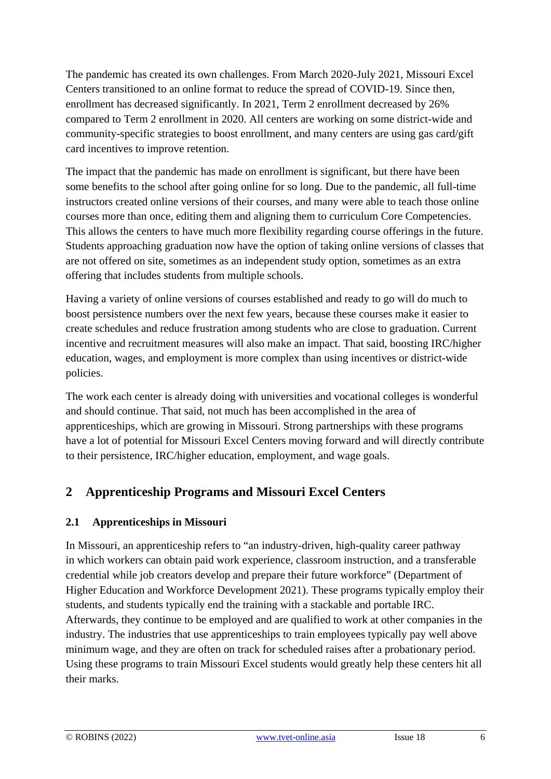The pandemic has created its own challenges. From March 2020-July 2021, Missouri Excel Centers transitioned to an online format to reduce the spread of COVID-19. Since then, enrollment has decreased significantly. In 2021, Term 2 enrollment decreased by 26% compared to Term 2 enrollment in 2020. All centers are working on some district-wide and community-specific strategies to boost enrollment, and many centers are using gas card/gift card incentives to improve retention.

The impact that the pandemic has made on enrollment is significant, but there have been some benefits to the school after going online for so long. Due to the pandemic, all full-time instructors created online versions of their courses, and many were able to teach those online courses more than once, editing them and aligning them to curriculum Core Competencies. This allows the centers to have much more flexibility regarding course offerings in the future. Students approaching graduation now have the option of taking online versions of classes that are not offered on site, sometimes as an independent study option, sometimes as an extra offering that includes students from multiple schools.

Having a variety of online versions of courses established and ready to go will do much to boost persistence numbers over the next few years, because these courses make it easier to create schedules and reduce frustration among students who are close to graduation. Current incentive and recruitment measures will also make an impact. That said, boosting IRC/higher education, wages, and employment is more complex than using incentives or district-wide policies.

The work each center is already doing with universities and vocational colleges is wonderful and should continue. That said, not much has been accomplished in the area of apprenticeships, which are growing in Missouri. Strong partnerships with these programs have a lot of potential for Missouri Excel Centers moving forward and will directly contribute to their persistence, IRC/higher education, employment, and wage goals.

## **2 Apprenticeship Programs and Missouri Excel Centers**

#### **2.1 Apprenticeships in Missouri**

In Missouri, an apprenticeship refers to "an industry-driven, high-quality career pathway in which workers can obtain paid work experience, classroom instruction, and a transferable credential while job creators develop and prepare their future workforce" (Department of Higher Education and Workforce Development 2021). These programs typically employ their students, and students typically end the training with a stackable and portable IRC. Afterwards, they continue to be employed and are qualified to work at other companies in the industry. The industries that use apprenticeships to train employees typically pay well above minimum wage, and they are often on track for scheduled raises after a probationary period. Using these programs to train Missouri Excel students would greatly help these centers hit all their marks.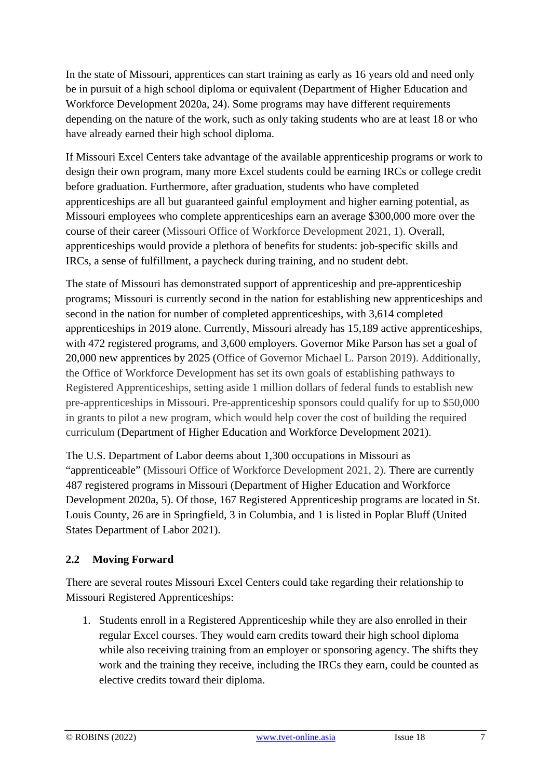In the state of Missouri, apprentices can start training as early as 16 years old and need only be in pursuit of a high school diploma or equivalent (Department of Higher Education and Workforce Development 2020a, 24). Some programs may have different requirements depending on the nature of the work, such as only taking students who are at least 18 or who have already earned their high school diploma.

If Missouri Excel Centers take advantage of the available apprenticeship programs or work to design their own program, many more Excel students could be earning IRCs or college credit before graduation. Furthermore, after graduation, students who have completed apprenticeships are all but guaranteed gainful employment and higher earning potential, as Missouri employees who complete apprenticeships earn an average \$300,000 more over the course of their career (Missouri Office of Workforce Development 2021, 1). Overall, apprenticeships would provide a plethora of benefits for students: job-specific skills and IRCs, a sense of fulfillment, a paycheck during training, and no student debt.

The state of Missouri has demonstrated support of apprenticeship and pre-apprenticeship programs; Missouri is currently second in the nation for establishing new apprenticeships and second in the nation for number of completed apprenticeships, with 3,614 completed apprenticeships in 2019 alone. Currently, Missouri already has 15,189 active apprenticeships, with 472 registered programs, and 3,600 employers. Governor Mike Parson has set a goal of 20,000 new apprentices by 2025 (Office of Governor Michael L. Parson 2019). Additionally, the Office of Workforce Development has set its own goals of establishing pathways to Registered Apprenticeships, setting aside 1 million dollars of federal funds to establish new pre-apprenticeships in Missouri. Pre-apprenticeship sponsors could qualify for up to \$50,000 in grants to pilot a new program, which would help cover the cost of building the required curriculum (Department of Higher Education and Workforce Development 2021).

The U.S. Department of Labor deems about 1,300 occupations in Missouri as "apprenticeable" (Missouri Office of Workforce Development 2021, 2). There are currently 487 registered programs in Missouri (Department of Higher Education and Workforce Development 2020a, 5). Of those, 167 Registered Apprenticeship programs are located in St. Louis County, 26 are in Springfield, 3 in Columbia, and 1 is listed in Poplar Bluff (United States Department of Labor 2021).

#### **2.2 Moving Forward**

There are several routes Missouri Excel Centers could take regarding their relationship to Missouri Registered Apprenticeships:

1. Students enroll in a Registered Apprenticeship while they are also enrolled in their regular Excel courses. They would earn credits toward their high school diploma while also receiving training from an employer or sponsoring agency. The shifts they work and the training they receive, including the IRCs they earn, could be counted as elective credits toward their diploma.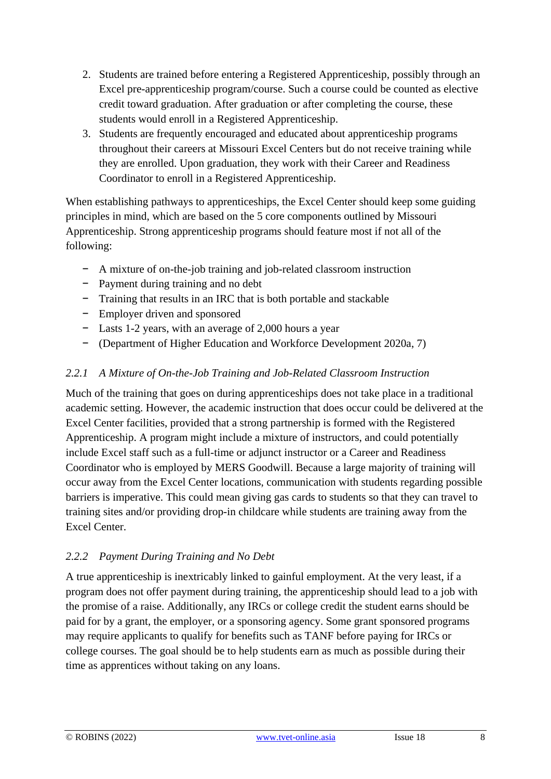- 2. Students are trained before entering a Registered Apprenticeship, possibly through an Excel pre-apprenticeship program/course. Such a course could be counted as elective credit toward graduation. After graduation or after completing the course, these students would enroll in a Registered Apprenticeship.
- 3. Students are frequently encouraged and educated about apprenticeship programs throughout their careers at Missouri Excel Centers but do not receive training while they are enrolled. Upon graduation, they work with their Career and Readiness Coordinator to enroll in a Registered Apprenticeship.

When establishing pathways to apprenticeships, the Excel Center should keep some guiding principles in mind, which are based on the 5 core components outlined by Missouri Apprenticeship. Strong apprenticeship programs should feature most if not all of the following:

- − A mixture of on-the-job training and job-related classroom instruction
- − Payment during training and no debt
- − Training that results in an IRC that is both portable and stackable
- − Employer driven and sponsored
- − Lasts 1-2 years, with an average of 2,000 hours a year
- − (Department of Higher Education and Workforce Development 2020a, 7)

#### *2.2.1 A Mixture of On-the-Job Training and Job-Related Classroom Instruction*

Much of the training that goes on during apprenticeships does not take place in a traditional academic setting. However, the academic instruction that does occur could be delivered at the Excel Center facilities, provided that a strong partnership is formed with the Registered Apprenticeship. A program might include a mixture of instructors, and could potentially include Excel staff such as a full-time or adjunct instructor or a Career and Readiness Coordinator who is employed by MERS Goodwill. Because a large majority of training will occur away from the Excel Center locations, communication with students regarding possible barriers is imperative. This could mean giving gas cards to students so that they can travel to training sites and/or providing drop-in childcare while students are training away from the Excel Center.

#### *2.2.2 Payment During Training and No Debt*

A true apprenticeship is inextricably linked to gainful employment. At the very least, if a program does not offer payment during training, the apprenticeship should lead to a job with the promise of a raise. Additionally, any IRCs or college credit the student earns should be paid for by a grant, the employer, or a sponsoring agency. Some grant sponsored programs may require applicants to qualify for benefits such as TANF before paying for IRCs or college courses. The goal should be to help students earn as much as possible during their time as apprentices without taking on any loans.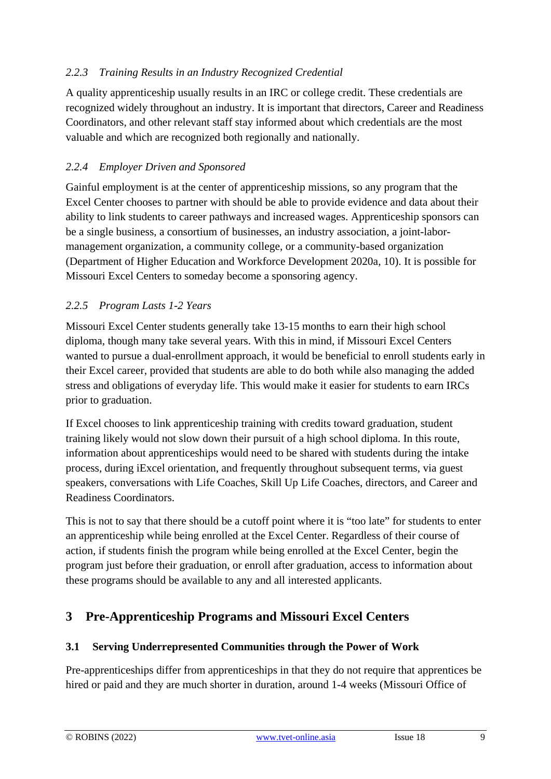#### *2.2.3 Training Results in an Industry Recognized Credential*

A quality apprenticeship usually results in an IRC or college credit. These credentials are recognized widely throughout an industry. It is important that directors, Career and Readiness Coordinators, and other relevant staff stay informed about which credentials are the most valuable and which are recognized both regionally and nationally.

#### *2.2.4 Employer Driven and Sponsored*

Gainful employment is at the center of apprenticeship missions, so any program that the Excel Center chooses to partner with should be able to provide evidence and data about their ability to link students to career pathways and increased wages. Apprenticeship sponsors can be a single business, a consortium of businesses, an industry association, a joint-labormanagement organization, a community college, or a community-based organization (Department of Higher Education and Workforce Development 2020a, 10). It is possible for Missouri Excel Centers to someday become a sponsoring agency.

#### *2.2.5 Program Lasts 1-2 Years*

Missouri Excel Center students generally take 13-15 months to earn their high school diploma, though many take several years. With this in mind, if Missouri Excel Centers wanted to pursue a dual-enrollment approach, it would be beneficial to enroll students early in their Excel career, provided that students are able to do both while also managing the added stress and obligations of everyday life. This would make it easier for students to earn IRCs prior to graduation.

If Excel chooses to link apprenticeship training with credits toward graduation, student training likely would not slow down their pursuit of a high school diploma. In this route, information about apprenticeships would need to be shared with students during the intake process, during iExcel orientation, and frequently throughout subsequent terms, via guest speakers, conversations with Life Coaches, Skill Up Life Coaches, directors, and Career and Readiness Coordinators.

This is not to say that there should be a cutoff point where it is "too late" for students to enter an apprenticeship while being enrolled at the Excel Center. Regardless of their course of action, if students finish the program while being enrolled at the Excel Center, begin the program just before their graduation, or enroll after graduation, access to information about these programs should be available to any and all interested applicants.

## **3 Pre-Apprenticeship Programs and Missouri Excel Centers**

#### **3.1 Serving Underrepresented Communities through the Power of Work**

Pre-apprenticeships differ from apprenticeships in that they do not require that apprentices be hired or paid and they are much shorter in duration, around 1-4 weeks (Missouri Office of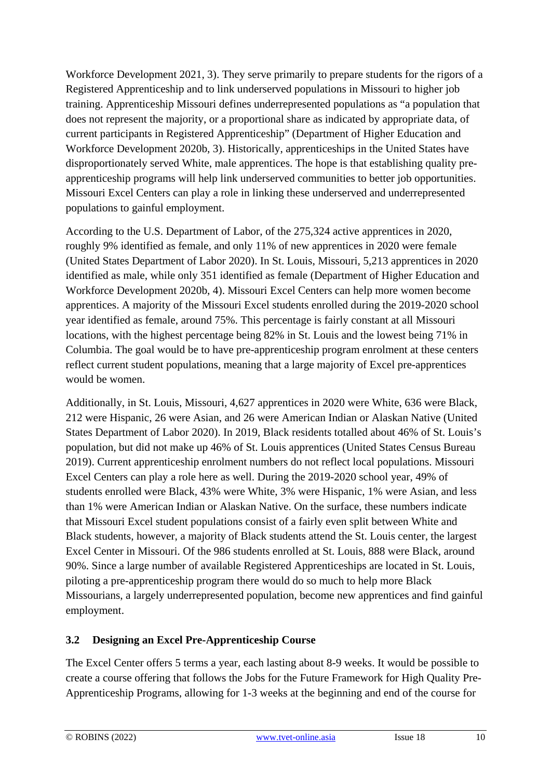Workforce Development 2021, 3). They serve primarily to prepare students for the rigors of a Registered Apprenticeship and to link underserved populations in Missouri to higher job training. Apprenticeship Missouri defines underrepresented populations as "a population that does not represent the majority, or a proportional share as indicated by appropriate data, of current participants in Registered Apprenticeship" (Department of Higher Education and Workforce Development 2020b, 3). Historically, apprenticeships in the United States have disproportionately served White, male apprentices. The hope is that establishing quality preapprenticeship programs will help link underserved communities to better job opportunities. Missouri Excel Centers can play a role in linking these underserved and underrepresented populations to gainful employment.

According to the U.S. Department of Labor, of the 275,324 active apprentices in 2020, roughly 9% identified as female, and only 11% of new apprentices in 2020 were female (United States Department of Labor 2020). In St. Louis, Missouri, 5,213 apprentices in 2020 identified as male, while only 351 identified as female (Department of Higher Education and Workforce Development 2020b, 4). Missouri Excel Centers can help more women become apprentices. A majority of the Missouri Excel students enrolled during the 2019-2020 school year identified as female, around 75%. This percentage is fairly constant at all Missouri locations, with the highest percentage being 82% in St. Louis and the lowest being 71% in Columbia. The goal would be to have pre-apprenticeship program enrolment at these centers reflect current student populations, meaning that a large majority of Excel pre-apprentices would be women.

Additionally, in St. Louis, Missouri, 4,627 apprentices in 2020 were White, 636 were Black, 212 were Hispanic, 26 were Asian, and 26 were American Indian or Alaskan Native (United States Department of Labor 2020). In 2019, Black residents totalled about 46% of St. Louis's population, but did not make up 46% of St. Louis apprentices (United States Census Bureau 2019). Current apprenticeship enrolment numbers do not reflect local populations. Missouri Excel Centers can play a role here as well. During the 2019-2020 school year, 49% of students enrolled were Black, 43% were White, 3% were Hispanic, 1% were Asian, and less than 1% were American Indian or Alaskan Native. On the surface, these numbers indicate that Missouri Excel student populations consist of a fairly even split between White and Black students, however, a majority of Black students attend the St. Louis center, the largest Excel Center in Missouri. Of the 986 students enrolled at St. Louis, 888 were Black, around 90%. Since a large number of available Registered Apprenticeships are located in St. Louis, piloting a pre-apprenticeship program there would do so much to help more Black Missourians, a largely underrepresented population, become new apprentices and find gainful employment.

#### **3.2 Designing an Excel Pre-Apprenticeship Course**

The Excel Center offers 5 terms a year, each lasting about 8-9 weeks. It would be possible to create a course offering that follows the Jobs for the Future Framework for High Quality Pre-Apprenticeship Programs, allowing for 1-3 weeks at the beginning and end of the course for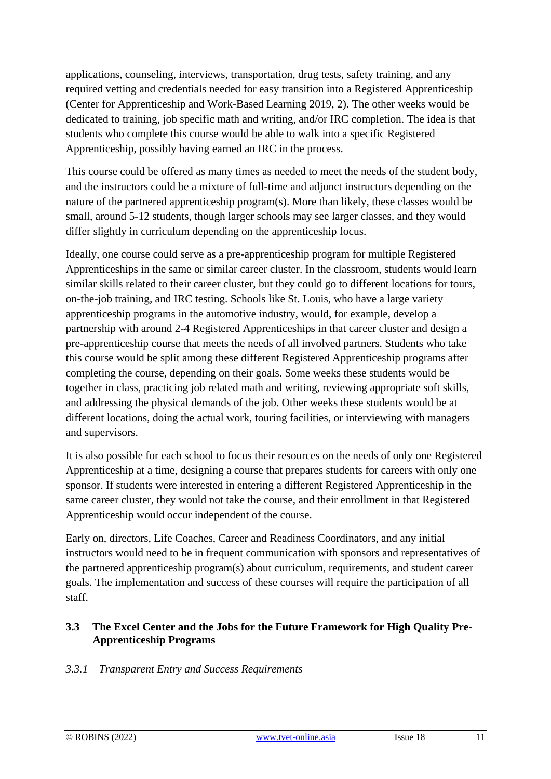applications, counseling, interviews, transportation, drug tests, safety training, and any required vetting and credentials needed for easy transition into a Registered Apprenticeship (Center for Apprenticeship and Work-Based Learning 2019, 2). The other weeks would be dedicated to training, job specific math and writing, and/or IRC completion. The idea is that students who complete this course would be able to walk into a specific Registered Apprenticeship, possibly having earned an IRC in the process.

This course could be offered as many times as needed to meet the needs of the student body, and the instructors could be a mixture of full-time and adjunct instructors depending on the nature of the partnered apprenticeship program(s). More than likely, these classes would be small, around 5-12 students, though larger schools may see larger classes, and they would differ slightly in curriculum depending on the apprenticeship focus.

Ideally, one course could serve as a pre-apprenticeship program for multiple Registered Apprenticeships in the same or similar career cluster. In the classroom, students would learn similar skills related to their career cluster, but they could go to different locations for tours, on-the-job training, and IRC testing. Schools like St. Louis, who have a large variety apprenticeship programs in the automotive industry, would, for example, develop a partnership with around 2-4 Registered Apprenticeships in that career cluster and design a pre-apprenticeship course that meets the needs of all involved partners. Students who take this course would be split among these different Registered Apprenticeship programs after completing the course, depending on their goals. Some weeks these students would be together in class, practicing job related math and writing, reviewing appropriate soft skills, and addressing the physical demands of the job. Other weeks these students would be at different locations, doing the actual work, touring facilities, or interviewing with managers and supervisors.

It is also possible for each school to focus their resources on the needs of only one Registered Apprenticeship at a time, designing a course that prepares students for careers with only one sponsor. If students were interested in entering a different Registered Apprenticeship in the same career cluster, they would not take the course, and their enrollment in that Registered Apprenticeship would occur independent of the course.

Early on, directors, Life Coaches, Career and Readiness Coordinators, and any initial instructors would need to be in frequent communication with sponsors and representatives of the partnered apprenticeship program(s) about curriculum, requirements, and student career goals. The implementation and success of these courses will require the participation of all staff.

#### **3.3 The Excel Center and the Jobs for the Future Framework for High Quality Pre-Apprenticeship Programs**

#### *3.3.1 Transparent Entry and Success Requirements*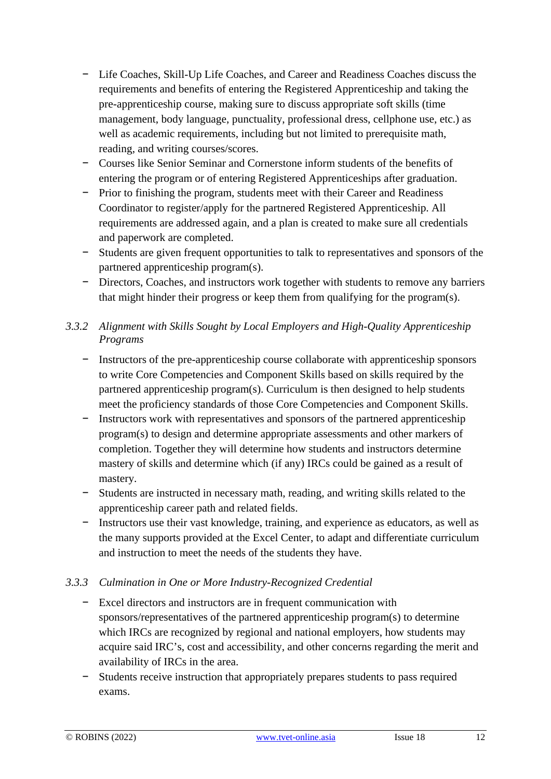- − Life Coaches, Skill-Up Life Coaches, and Career and Readiness Coaches discuss the requirements and benefits of entering the Registered Apprenticeship and taking the pre-apprenticeship course, making sure to discuss appropriate soft skills (time management, body language, punctuality, professional dress, cellphone use, etc.) as well as academic requirements, including but not limited to prerequisite math, reading, and writing courses/scores.
- − Courses like Senior Seminar and Cornerstone inform students of the benefits of entering the program or of entering Registered Apprenticeships after graduation.
- − Prior to finishing the program, students meet with their Career and Readiness Coordinator to register/apply for the partnered Registered Apprenticeship. All requirements are addressed again, and a plan is created to make sure all credentials and paperwork are completed.
- − Students are given frequent opportunities to talk to representatives and sponsors of the partnered apprenticeship program(s).
- − Directors, Coaches, and instructors work together with students to remove any barriers that might hinder their progress or keep them from qualifying for the program(s).

#### *3.3.2 Alignment with Skills Sought by Local Employers and High-Quality Apprenticeship Programs*

- − Instructors of the pre-apprenticeship course collaborate with apprenticeship sponsors to write Core Competencies and Component Skills based on skills required by the partnered apprenticeship program(s). Curriculum is then designed to help students meet the proficiency standards of those Core Competencies and Component Skills.
- − Instructors work with representatives and sponsors of the partnered apprenticeship program(s) to design and determine appropriate assessments and other markers of completion. Together they will determine how students and instructors determine mastery of skills and determine which (if any) IRCs could be gained as a result of mastery.
- − Students are instructed in necessary math, reading, and writing skills related to the apprenticeship career path and related fields.
- − Instructors use their vast knowledge, training, and experience as educators, as well as the many supports provided at the Excel Center, to adapt and differentiate curriculum and instruction to meet the needs of the students they have.

#### *3.3.3 Culmination in One or More Industry-Recognized Credential*

- − Excel directors and instructors are in frequent communication with sponsors/representatives of the partnered apprenticeship program(s) to determine which IRCs are recognized by regional and national employers, how students may acquire said IRC's, cost and accessibility, and other concerns regarding the merit and availability of IRCs in the area.
- − Students receive instruction that appropriately prepares students to pass required exams.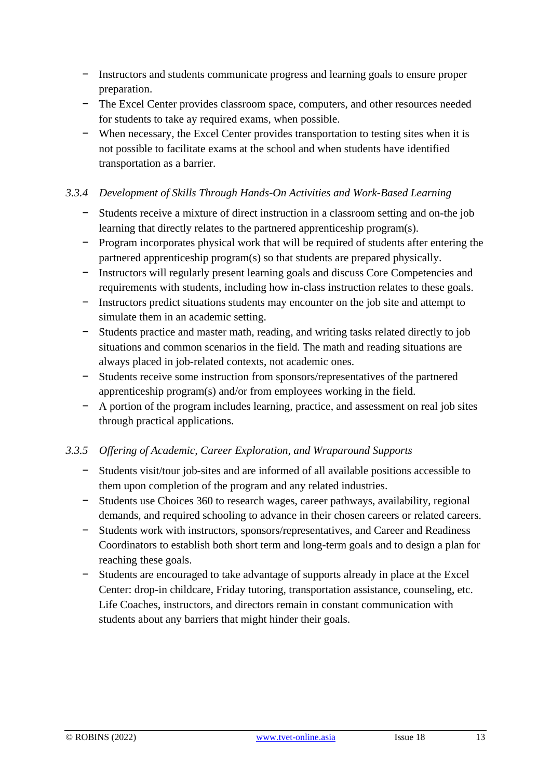- − Instructors and students communicate progress and learning goals to ensure proper preparation.
- − The Excel Center provides classroom space, computers, and other resources needed for students to take ay required exams, when possible.
- − When necessary, the Excel Center provides transportation to testing sites when it is not possible to facilitate exams at the school and when students have identified transportation as a barrier.

#### *3.3.4 Development of Skills Through Hands-On Activities and Work-Based Learning*

- − Students receive a mixture of direct instruction in a classroom setting and on-the job learning that directly relates to the partnered apprenticeship program(s).
- − Program incorporates physical work that will be required of students after entering the partnered apprenticeship program(s) so that students are prepared physically.
- − Instructors will regularly present learning goals and discuss Core Competencies and requirements with students, including how in-class instruction relates to these goals.
- − Instructors predict situations students may encounter on the job site and attempt to simulate them in an academic setting.
- − Students practice and master math, reading, and writing tasks related directly to job situations and common scenarios in the field. The math and reading situations are always placed in job-related contexts, not academic ones.
- − Students receive some instruction from sponsors/representatives of the partnered apprenticeship program(s) and/or from employees working in the field.
- − A portion of the program includes learning, practice, and assessment on real job sites through practical applications.

#### *3.3.5 Offering of Academic, Career Exploration, and Wraparound Supports*

- − Students visit/tour job-sites and are informed of all available positions accessible to them upon completion of the program and any related industries.
- − Students use Choices 360 to research wages, career pathways, availability, regional demands, and required schooling to advance in their chosen careers or related careers.
- − Students work with instructors, sponsors/representatives, and Career and Readiness Coordinators to establish both short term and long-term goals and to design a plan for reaching these goals.
- − Students are encouraged to take advantage of supports already in place at the Excel Center: drop-in childcare, Friday tutoring, transportation assistance, counseling, etc. Life Coaches, instructors, and directors remain in constant communication with students about any barriers that might hinder their goals.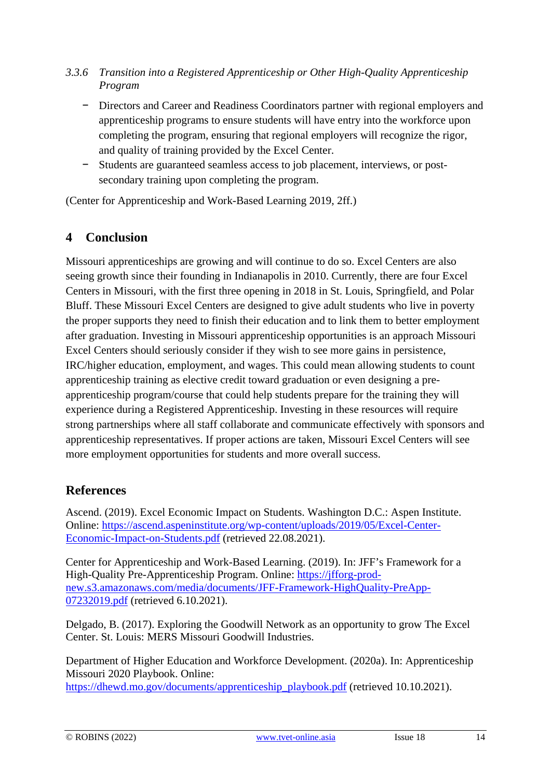- *3.3.6 Transition into a Registered Apprenticeship or Other High-Quality Apprenticeship Program*
	- − Directors and Career and Readiness Coordinators partner with regional employers and apprenticeship programs to ensure students will have entry into the workforce upon completing the program, ensuring that regional employers will recognize the rigor, and quality of training provided by the Excel Center.
	- − Students are guaranteed seamless access to job placement, interviews, or postsecondary training upon completing the program.

(Center for Apprenticeship and Work-Based Learning 2019, 2ff.)

## **4 Conclusion**

Missouri apprenticeships are growing and will continue to do so. Excel Centers are also seeing growth since their founding in Indianapolis in 2010. Currently, there are four Excel Centers in Missouri, with the first three opening in 2018 in St. Louis, Springfield, and Polar Bluff. These Missouri Excel Centers are designed to give adult students who live in poverty the proper supports they need to finish their education and to link them to better employment after graduation. Investing in Missouri apprenticeship opportunities is an approach Missouri Excel Centers should seriously consider if they wish to see more gains in persistence, IRC/higher education, employment, and wages. This could mean allowing students to count apprenticeship training as elective credit toward graduation or even designing a preapprenticeship program/course that could help students prepare for the training they will experience during a Registered Apprenticeship. Investing in these resources will require strong partnerships where all staff collaborate and communicate effectively with sponsors and apprenticeship representatives. If proper actions are taken, Missouri Excel Centers will see more employment opportunities for students and more overall success.

### **References**

Ascend. (2019). Excel Economic Impact on Students. Washington D.C.: Aspen Institute. Online: [https://ascend.aspeninstitute.org/wp-content/uploads/2019/05/Excel-Center-](https://ascend.aspeninstitute.org/wp-content/uploads/2019/05/Excel-Center-Economic-Impact-on-Students.pdf)[Economic-Impact-on-Students.pdf](https://ascend.aspeninstitute.org/wp-content/uploads/2019/05/Excel-Center-Economic-Impact-on-Students.pdf) (retrieved 22.08.2021).

Center for Apprenticeship and Work-Based Learning. (2019). In: JFF's Framework for a High-Quality Pre-Apprenticeship Program. Online: [https://jfforg-prod](https://jfforg-prod-new.s3.amazonaws.com/media/documents/JFF-Framework-HighQuality-PreApp-07232019.pdf)[new.s3.amazonaws.com/media/documents/JFF-Framework-HighQuality-PreApp-](https://jfforg-prod-new.s3.amazonaws.com/media/documents/JFF-Framework-HighQuality-PreApp-07232019.pdf)[07232019.pdf](https://jfforg-prod-new.s3.amazonaws.com/media/documents/JFF-Framework-HighQuality-PreApp-07232019.pdf) (retrieved 6.10.2021).

Delgado, B. (2017). Exploring the Goodwill Network as an opportunity to grow The Excel Center. St. Louis: MERS Missouri Goodwill Industries.

Department of Higher Education and Workforce Development. (2020a). In: Apprenticeship Missouri 2020 Playbook. Online: [https://dhewd.mo.gov/documents/apprenticeship\\_playbook.pdf](https://dhewd.mo.gov/documents/apprenticeship_playbook.pdf) (retrieved 10.10.2021).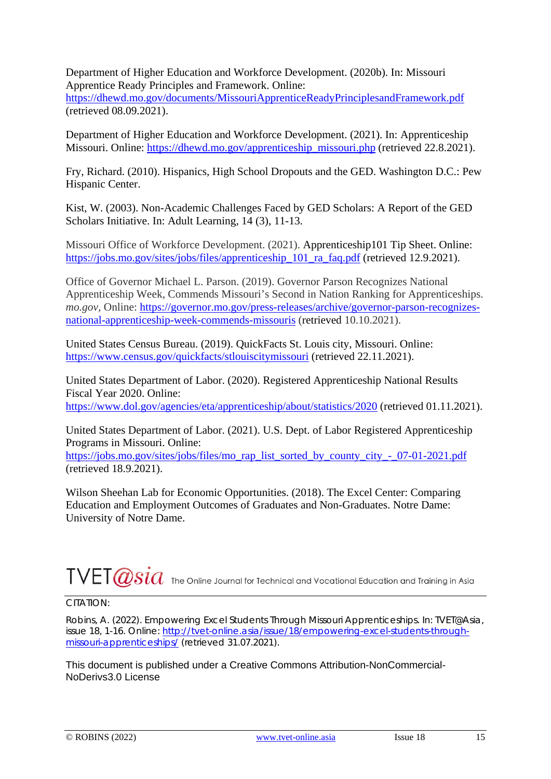Department of Higher Education and Workforce Development. (2020b). In: Missouri Apprentice Ready Principles and Framework. Online:

<https://dhewd.mo.gov/documents/MissouriApprenticeReadyPrinciplesandFramework.pdf> (retrieved 08.09.2021).

Department of Higher Education and Workforce Development. (2021). In: Apprenticeship Missouri. Online: [https://dhewd.mo.gov/apprenticeship\\_missouri.php](https://dhewd.mo.gov/apprenticeship_missouri.php) (retrieved 22.8.2021).

Fry, Richard. (2010). Hispanics, High School Dropouts and the GED. Washington D.C.: Pew Hispanic Center.

Kist, W. (2003). Non-Academic Challenges Faced by GED Scholars: A Report of the GED Scholars Initiative. In: Adult Learning, 14 (3), 11-13.

Missouri Office of Workforce Development. (2021). Apprenticeship101 Tip Sheet. Online: [https://jobs.mo.gov/sites/jobs/files/apprenticeship\\_101\\_ra\\_faq.pdf](https://jobs.mo.gov/sites/jobs/files/apprenticeship_101_ra_faq.pdf) (retrieved 12.9.2021).

Office of Governor Michael L. Parson. (2019). Governor Parson Recognizes National Apprenticeship Week, Commends Missouri's Second in Nation Ranking for Apprenticeships. *mo.gov,* Online: [https://governor.mo.gov/press-releases/archive/governor-parson-recognizes](https://governor.mo.gov/press-releases/archive/governor-parson-recognizes-national-apprenticeship-week-commends-missouris)[national-apprenticeship-week-commends-missouris](https://governor.mo.gov/press-releases/archive/governor-parson-recognizes-national-apprenticeship-week-commends-missouris) (retrieved 10.10.2021).

United States Census Bureau. (2019). QuickFacts St. Louis city, Missouri. Online: <https://www.census.gov/quickfacts/stlouiscitymissouri> (retrieved 22.11.2021).

United States Department of Labor. (2020). Registered Apprenticeship National Results Fiscal Year 2020. Online:

<https://www.dol.gov/agencies/eta/apprenticeship/about/statistics/2020> (retrieved 01.11.2021).

United States Department of Labor. (2021). U.S. Dept. of Labor Registered Apprenticeship Programs in Missouri. Online:

[https://jobs.mo.gov/sites/jobs/files/mo\\_rap\\_list\\_sorted\\_by\\_county\\_city\\_-\\_07-01-2021.pdf](https://jobs.mo.gov/sites/jobs/files/mo_rap_list_sorted_by_county_city_-_07-01-2021.pdf) (retrieved 18.9.2021).

Wilson Sheehan Lab for Economic Opportunities. (2018). The Excel Center: Comparing Education and Employment Outcomes of Graduates and Non-Graduates. Notre Dame: University of Notre Dame.

# $\text{TVET}\overline{Q}\overline{S}\overline{i}a$  The Online Journal for Technical and Vocational Education and Training in Asia

#### CITATION:

Robins, A. (2022). Empowering Excel Students Through Missouri Apprenticeships. In: TVET@Asia, issue 18, 1-16. Online: [http://tvet-online.asia/issue/18/empowering-excel-students-through](http://tvet-online.asia/issue/18/empowering-excel-students-through-missouri-apprenticeships/)[missouri-apprenticeships/](http://tvet-online.asia/issue/18/empowering-excel-students-through-missouri-apprenticeships/) (retrieved 31.07.2021).

This document is published under a Creative Commons Attribution-NonCommercial-NoDerivs3.0 License